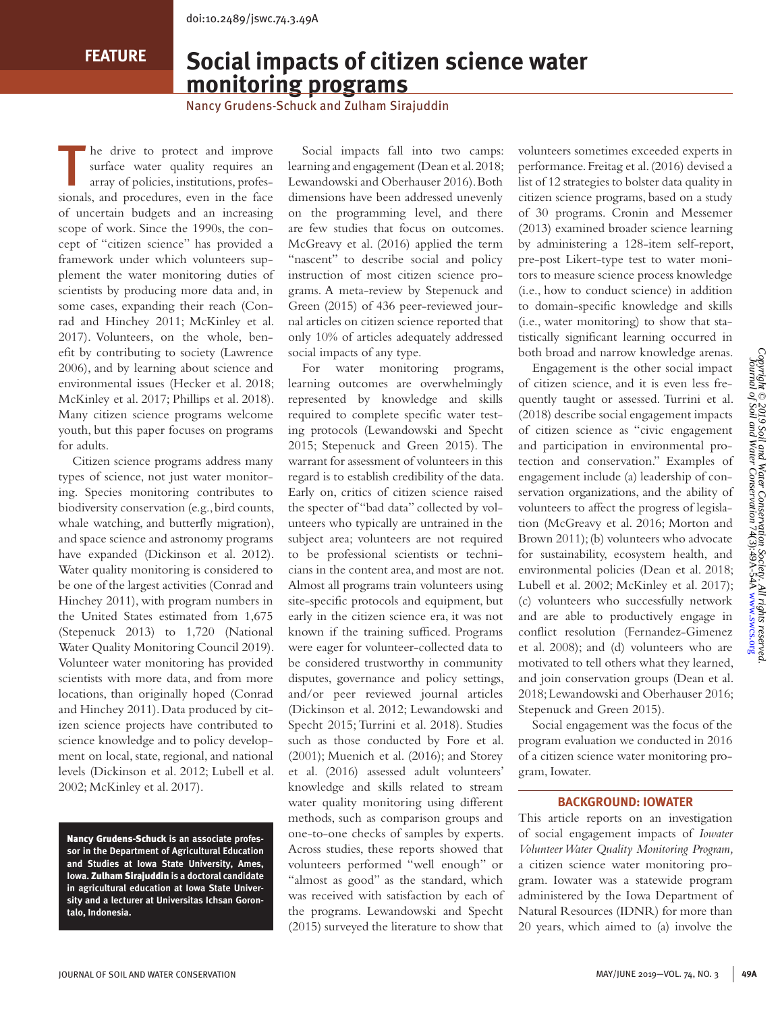**FEATURE**

# **Social impacts of citizen science water monitoring programs**

Nancy Grudens-Schuck and Zulham Sirajuddin

The drive to protect and improve<br>surface water quality requires an<br>array of policies, institutions, profes-<br>simple and properly many in the form surface water quality requires an array of policies, institutions, professionals, and procedures, even in the face of uncertain budgets and an increasing scope of work. Since the 1990s, the concept of "citizen science" has provided a framework under which volunteers supplement the water monitoring duties of scientists by producing more data and, in some cases, expanding their reach (Conrad and Hinchey 2011; McKinley et al. 2017). Volunteers, on the whole, benefit by contributing to society (Lawrence 2006), and by learning about science and environmental issues (Hecker et al. 2018; McKinley et al. 2017; Phillips et al. 2018). Many citizen science programs welcome youth, but this paper focuses on programs for adults.

Citizen science programs address many types of science, not just water monitoring. Species monitoring contributes to biodiversity conservation (e.g., bird counts, whale watching, and butterfly migration), and space science and astronomy programs have expanded (Dickinson et al. 2012). Water quality monitoring is considered to be one of the largest activities (Conrad and Hinchey 2011), with program numbers in the United States estimated from 1,675 (Stepenuck 2013) to 1,720 (National Water Quality Monitoring Council 2019). Volunteer water monitoring has provided scientists with more data, and from more locations, than originally hoped (Conrad and Hinchey 2011). Data produced by citizen science projects have contributed to science knowledge and to policy development on local, state, regional, and national levels (Dickinson et al. 2012; Lubell et al. 2002; McKinley et al. 2017).

Nancy Grudens-Schuck **is an associate professor in the Department of Agricultural Education and Studies at Iowa State University, Ames, Iowa.** Zulham Sirajuddin **is a doctoral candidate in agricultural education at Iowa State University and a lecturer at Universitas Ichsan Gorontalo, Indonesia.**

Social impacts fall into two camps: learning and engagement (Dean et al. 2018; Lewandowski and Oberhauser 2016). Both dimensions have been addressed unevenly on the programming level, and there are few studies that focus on outcomes. McGreavy et al. (2016) applied the term "nascent" to describe social and policy instruction of most citizen science programs. A meta-review by Stepenuck and Green (2015) of 436 peer-reviewed journal articles on citizen science reported that only 10% of articles adequately addressed social impacts of any type.

For water monitoring programs, learning outcomes are overwhelmingly represented by knowledge and skills required to complete specific water testing protocols (Lewandowski and Specht 2015; Stepenuck and Green 2015). The warrant for assessment of volunteers in this regard is to establish credibility of the data. Early on, critics of citizen science raised the specter of "bad data" collected by volunteers who typically are untrained in the subject area; volunteers are not required to be professional scientists or technicians in the content area, and most are not. Almost all programs train volunteers using site-specific protocols and equipment, but early in the citizen science era, it was not known if the training sufficed. Programs were eager for volunteer-collected data to be considered trustworthy in community disputes, governance and policy settings, and/or peer reviewed journal articles (Dickinson et al. 2012; Lewandowski and Specht 2015; Turrini et al. 2018). Studies such as those conducted by Fore et al. (2001); Muenich et al. (2016); and Storey et al. (2016) assessed adult volunteers' knowledge and skills related to stream water quality monitoring using different methods, such as comparison groups and one-to-one checks of samples by experts. Across studies, these reports showed that volunteers performed "well enough" or "almost as good" as the standard, which was received with satisfaction by each of the programs. Lewandowski and Specht (2015) surveyed the literature to show that

volunteers sometimes exceeded experts in performance. Freitag et al. (2016) devised a list of 12 strategies to bolster data quality in citizen science programs, based on a study of 30 programs. Cronin and Messemer (2013) examined broader science learning by administering a 128-item self-report, pre-post Likert-type test to water monitors to measure science process knowledge (i.e., how to conduct science) in addition to domain-specific knowledge and skills (i.e., water monitoring) to show that statistically significant learning occurred in both broad and narrow knowledge arenas.

Engagement is the other social impact of citizen science, and it is even less frequently taught or assessed. Turrini et al. (2018) describe social engagement impacts of citizen science as "civic engagement and participation in environmental protection and conservation." Examples of engagement include (a) leadership of conservation organizations, and the ability of volunteers to affect the progress of legislation (McGreavy et al. 2016; Morton and Brown 2011); (b) volunteers who advocate for sustainability, ecosystem health, and environmental policies (Dean et al. 2018; Lubell et al. 2002; McKinley et al. 2017); (c) volunteers who successfully network and are able to productively engage in conflict resolution (Fernandez-Gimenez et al. 2008); and (d) volunteers who are motivated to tell others what they learned, and join conservation groups (Dean et al. 2018; Lewandowski and Oberhauser 2016; Stepenuck and Green 2015).

Social engagement was the focus of the program evaluation we conducted in 2016 of a citizen science water monitoring program, Iowater.

### **BACKGROUND: IOWATER**

This article reports on an investigation of social engagement impacts of *Iowater Volunteer Water Quality Monitoring Program,*  a citizen science water monitoring program. Iowater was a statewide program administered by the Iowa Department of Natural Resources (IDNR) for more than 20 years, which aimed to (a) involve the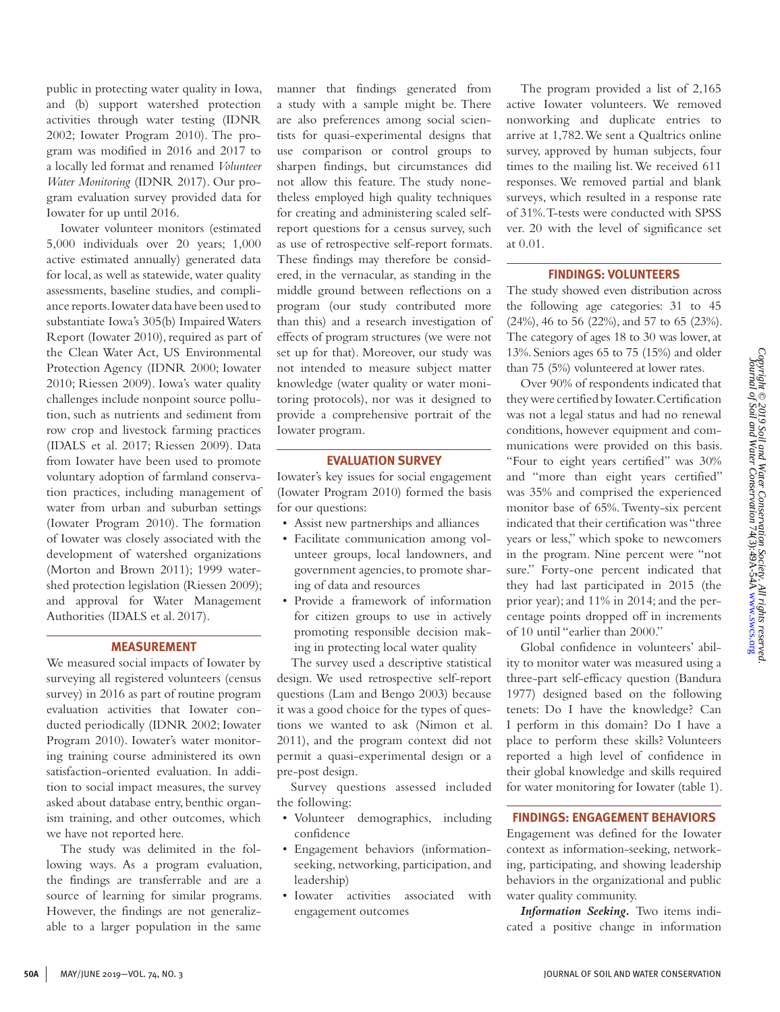public in protecting water quality in Iowa, and (b) support watershed protection activities through water testing (IDNR 2002; Iowater Program 2010). The program was modified in 2016 and 2017 to a locally led format and renamed *Volunteer Water Monitoring* (IDNR 2017). Our program evaluation survey provided data for Iowater for up until 2016.

Iowater volunteer monitors (estimated 5,000 individuals over 20 years; 1,000 active estimated annually) generated data for local, as well as statewide, water quality assessments, baseline studies, and compliance reports. Iowater data have been used to substantiate Iowa's 305(b) Impaired Waters Report (Iowater 2010), required as part of the Clean Water Act, US Environmental Protection Agency (IDNR 2000; Iowater 2010; Riessen 2009). Iowa's water quality challenges include nonpoint source pollution, such as nutrients and sediment from row crop and livestock farming practices (IDALS et al. 2017; Riessen 2009). Data from Iowater have been used to promote voluntary adoption of farmland conservation practices, including management of water from urban and suburban settings (Iowater Program 2010). The formation of Iowater was closely associated with the development of watershed organizations (Morton and Brown 2011); 1999 watershed protection legislation (Riessen 2009); and approval for Water Management Authorities (IDALS et al. 2017).

### **MEASUREMENT**

We measured social impacts of Iowater by surveying all registered volunteers (census survey) in 2016 as part of routine program evaluation activities that Iowater conducted periodically (IDNR 2002; Iowater Program 2010). Iowater's water monitoring training course administered its own satisfaction-oriented evaluation. In addition to social impact measures, the survey asked about database entry, benthic organism training, and other outcomes, which we have not reported here.

The study was delimited in the following ways. As a program evaluation, the findings are transferrable and are a source of learning for similar programs. However, the findings are not generalizable to a larger population in the same

manner that findings generated from a study with a sample might be. There are also preferences among social scientists for quasi-experimental designs that use comparison or control groups to sharpen findings, but circumstances did not allow this feature. The study nonetheless employed high quality techniques for creating and administering scaled selfreport questions for a census survey, such as use of retrospective self-report formats. These findings may therefore be considered, in the vernacular, as standing in the middle ground between reflections on a program (our study contributed more than this) and a research investigation of effects of program structures (we were not set up for that). Moreover, our study was not intended to measure subject matter knowledge (water quality or water monitoring protocols), nor was it designed to provide a comprehensive portrait of the Iowater program.

### **EVALUATION SURVEY**

Iowater's key issues for social engagement (Iowater Program 2010) formed the basis for our questions:

- Assist new partnerships and alliances
- Facilitate communication among volunteer groups, local landowners, and government agencies, to promote sharing of data and resources
- Provide a framework of information for citizen groups to use in actively promoting responsible decision making in protecting local water quality

The survey used a descriptive statistical design. We used retrospective self-report questions (Lam and Bengo 2003) because it was a good choice for the types of questions we wanted to ask (Nimon et al. 2011), and the program context did not permit a quasi-experimental design or a pre-post design.

Survey questions assessed included the following:

- Volunteer demographics, including confidence
- Engagement behaviors (informationseeking, networking, participation, and leadership)
- Iowater activities associated with engagement outcomes

The program provided a list of 2,165 active Iowater volunteers. We removed nonworking and duplicate entries to arrive at 1,782. We sent a Qualtrics online survey, approved by human subjects, four times to the mailing list. We received 611 responses. We removed partial and blank surveys, which resulted in a response rate of 31%. T-tests were conducted with SPSS ver. 20 with the level of significance set at 0.01.

# **FINDINGS: VOLUNTEERS**

The study showed even distribution across the following age categories: 31 to 45 (24%), 46 to 56 (22%), and 57 to 65 (23%). The category of ages 18 to 30 was lower, at 13%. Seniors ages 65 to 75 (15%) and older than 75 (5%) volunteered at lower rates.

Over 90% of respondents indicated that they were certified by Iowater. Certification was not a legal status and had no renewal conditions, however equipment and communications were provided on this basis. "Four to eight years certified" was 30% and "more than eight years certified" was 35% and comprised the experienced monitor base of 65%. Twenty-six percent indicated that their certification was "three years or less," which spoke to newcomers in the program. Nine percent were "not sure." Forty-one percent indicated that they had last participated in 2015 (the prior year); and 11% in 2014; and the percentage points dropped off in increments of 10 until "earlier than 2000."

Global confidence in volunteers' ability to monitor water was measured using a three-part self-efficacy question (Bandura 1977) designed based on the following tenets: Do I have the knowledge? Can I perform in this domain? Do I have a place to perform these skills? Volunteers reported a high level of confidence in their global knowledge and skills required for water monitoring for Iowater (table 1).

# **FINDINGS: ENGAGEMENT BEHAVIORS**

Engagement was defined for the Iowater context as information-seeking, networking, participating, and showing leadership behaviors in the organizational and public water quality community.

*Information Seeking.* Two items indicated a positive change in information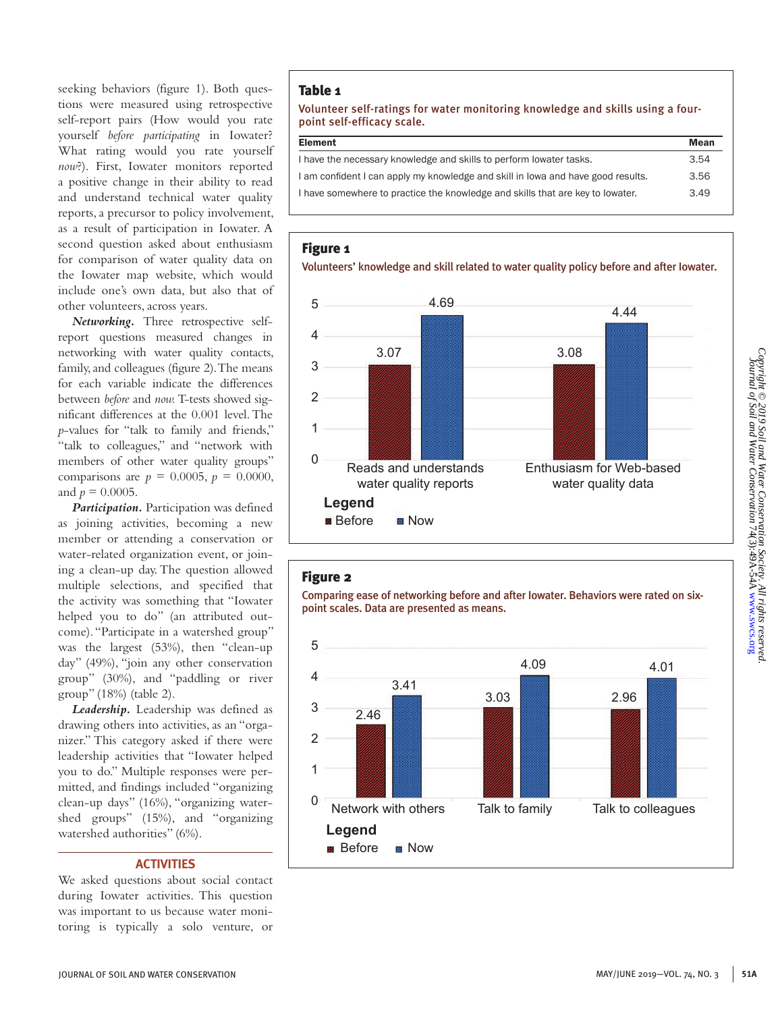seeking behaviors (figure 1). Both questions were measured using retrospective self-report pairs (How would you rate yourself *before participating* in Iowater? What rating would you rate yourself *now*?). First, Iowater monitors reported a positive change in their ability to read and understand technical water quality reports, a precursor to policy involvement, as a result of participation in Iowater. A second question asked about enthusiasm for comparison of water quality data on the Iowater map website, which would include one's own data, but also that of other volunteers, across years.

*Networking.* Three retrospective selfreport questions measured changes in networking with water quality contacts, family, and colleagues (figure 2). The means for each variable indicate the differences between *before* and *now.* T-tests showed significant differences at the 0.001 level. The *p*-values for "talk to family and friends," "talk to colleagues," and "network with members of other water quality groups" comparisons are  $p = 0.0005$ ,  $p = 0.0000$ , and  $p = 0.0005$ .

*Participation.* Participation was defined as joining activities, becoming a new member or attending a conservation or water-related organization event, or joining a clean-up day. The question allowed multiple selections, and specified that the activity was something that "Iowater helped you to do" (an attributed outcome). "Participate in a watershed group" was the largest (53%), then "clean-up day" (49%), "join any other conservation group" (30%), and "paddling or river group" (18%) (table 2).

*Leadership.* Leadership was defined as drawing others into activities, as an "organizer." This category asked if there were leadership activities that "Iowater helped you to do." Multiple responses were permitted, and findings included "organizing clean-up days" (16%), "organizing watershed groups" (15%), and "organizing watershed authorities" (6%).

### **ACTIVITIES**

We asked questions about social contact during Iowater activities. This question was important to us because water monitoring is typically a solo venture, or

# Table 1

Volunteer self-ratings for water monitoring knowledge and skills using a fourpoint self-efficacy scale.

| <b>Element</b>                                                                   | Mean |
|----------------------------------------------------------------------------------|------|
| I have the necessary knowledge and skills to perform lowater tasks.              | 3.54 |
| I am confident I can apply my knowledge and skill in lowa and have good results. | 3.56 |
| I have somewhere to practice the knowledge and skills that are key to lowater.   | 3.49 |

# Figure 1

Volunteers' knowledge and skill related to water quality policy before and after Iowater.



# Figure 2

Comparing ease of networking before and after Iowater. Behaviors were rated on sixpoint scales. Data are presented as means.

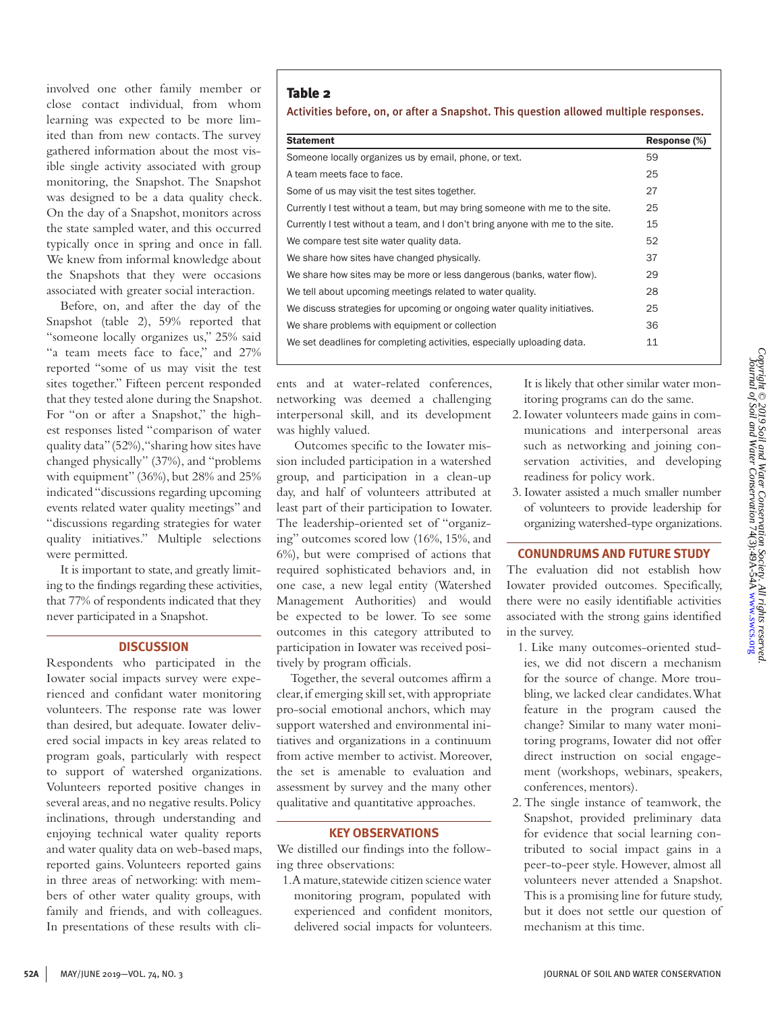involved one other family member or close contact individual, from whom learning was expected to be more limited than from new contacts. The survey gathered information about the most visible single activity associated with group monitoring, the Snapshot. The Snapshot was designed to be a data quality check. On the day of a Snapshot, monitors across the state sampled water, and this occurred typically once in spring and once in fall. We knew from informal knowledge about the Snapshots that they were occasions associated with greater social interaction.

Before, on, and after the day of the Snapshot (table 2), 59% reported that "someone locally organizes us," 25% said "a team meets face to face," and 27% reported "some of us may visit the test sites together." Fifteen percent responded that they tested alone during the Snapshot. For "on or after a Snapshot," the highest responses listed "comparison of water quality data" (52%), "sharing how sites have changed physically" (37%), and "problems with equipment" (36%), but 28% and 25% indicated "discussions regarding upcoming events related water quality meetings" and "discussions regarding strategies for water quality initiatives." Multiple selections were permitted.

It is important to state, and greatly limiting to the findings regarding these activities, that 77% of respondents indicated that they never participated in a Snapshot.

### **DISCUSSION**

Respondents who participated in the Iowater social impacts survey were experienced and confidant water monitoring volunteers. The response rate was lower than desired, but adequate. Iowater delivered social impacts in key areas related to program goals, particularly with respect to support of watershed organizations. Volunteers reported positive changes in several areas, and no negative results. Policy inclinations, through understanding and enjoying technical water quality reports and water quality data on web-based maps, reported gains. Volunteers reported gains in three areas of networking: with members of other water quality groups, with family and friends, and with colleagues. In presentations of these results with cli-

# Table 2

Activities before, on, or after a Snapshot. This question allowed multiple responses.

| <b>Statement</b>                                                               | Response (%) |
|--------------------------------------------------------------------------------|--------------|
| Someone locally organizes us by email, phone, or text.                         | 59           |
| A team meets face to face.                                                     | 25           |
| Some of us may visit the test sites together.                                  | 27           |
| Currently I test without a team, but may bring someone with me to the site.    | 25           |
| Currently I test without a team, and I don't bring anyone with me to the site. | 15           |
| We compare test site water quality data.                                       | 52           |
| We share how sites have changed physically.                                    | 37           |
| We share how sites may be more or less dangerous (banks, water flow).          | 29           |
| We tell about upcoming meetings related to water quality.                      | 28           |
| We discuss strategies for upcoming or ongoing water quality initiatives.       | 25           |
| We share problems with equipment or collection                                 | 36           |
| We set deadlines for completing activities, especially uploading data.         | 11           |

ents and at water-related conferences, networking was deemed a challenging interpersonal skill, and its development was highly valued.

 Outcomes specific to the Iowater mission included participation in a watershed group, and participation in a clean-up day, and half of volunteers attributed at least part of their participation to Iowater. The leadership-oriented set of "organizing" outcomes scored low (16%, 15%, and 6%), but were comprised of actions that required sophisticated behaviors and, in one case, a new legal entity (Watershed Management Authorities) and would be expected to be lower. To see some outcomes in this category attributed to participation in Iowater was received positively by program officials.

Together, the several outcomes affirm a clear, if emerging skill set, with appropriate pro-social emotional anchors, which may support watershed and environmental initiatives and organizations in a continuum from active member to activist. Moreover, the set is amenable to evaluation and assessment by survey and the many other qualitative and quantitative approaches.

# **KEY OBSERVATIONS**

We distilled our findings into the following three observations:

1. A mature, statewide citizen science water monitoring program, populated with experienced and confident monitors, delivered social impacts for volunteers. It is likely that other similar water monitoring programs can do the same.

- 2. Iowater volunteers made gains in communications and interpersonal areas such as networking and joining conservation activities, and developing readiness for policy work.
- 3. Iowater assisted a much smaller number of volunteers to provide leadership for organizing watershed-type organizations.

### **CONUNDRUMS AND FUTURE STUDY**

The evaluation did not establish how Iowater provided outcomes. Specifically, there were no easily identifiable activities associated with the strong gains identified in the survey.

- 1. Like many outcomes-oriented studies, we did not discern a mechanism for the source of change. More troubling, we lacked clear candidates. What feature in the program caused the change? Similar to many water monitoring programs, Iowater did not offer direct instruction on social engagement (workshops, webinars, speakers, conferences, mentors).
- 2. The single instance of teamwork, the Snapshot, provided preliminary data for evidence that social learning contributed to social impact gains in a peer-to-peer style. However, almost all volunteers never attended a Snapshot. This is a promising line for future study, but it does not settle our question of mechanism at this time.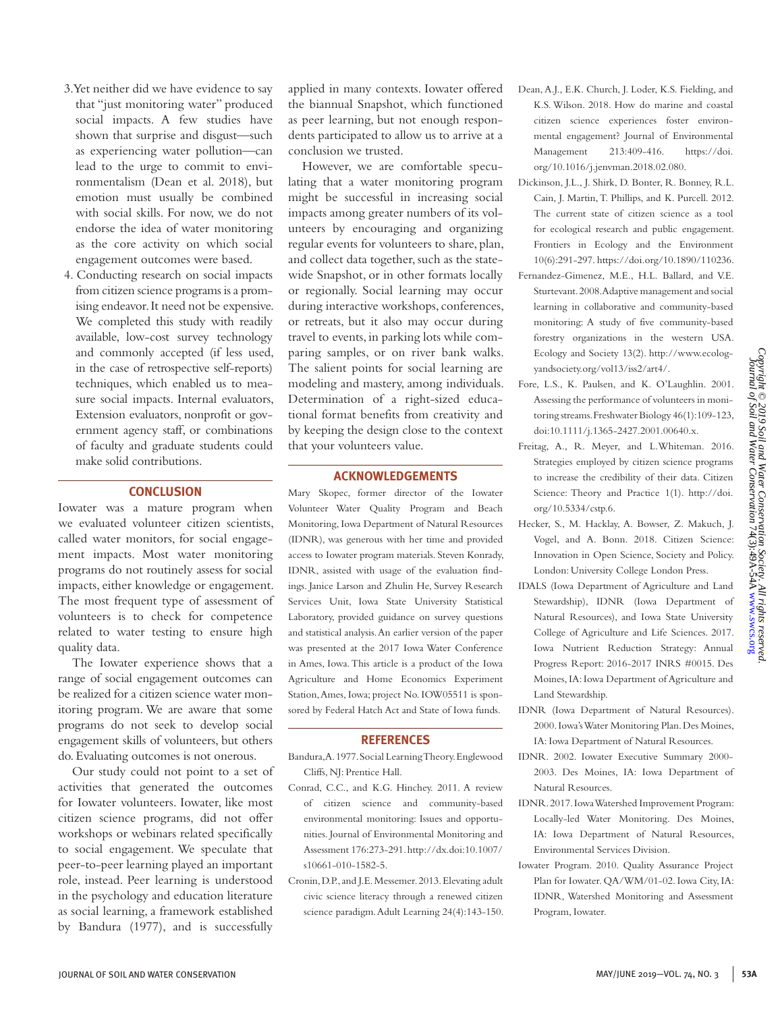- 3. Yet neither did we have evidence to say that "just monitoring water" produced social impacts. A few studies have shown that surprise and disgust—such as experiencing water pollution—can lead to the urge to commit to environmentalism (Dean et al. 2018), but emotion must usually be combined with social skills. For now, we do not endorse the idea of water monitoring as the core activity on which social engagement outcomes were based.
- 4. Conducting research on social impacts from citizen science programs is a promising endeavor. It need not be expensive. We completed this study with readily available, low-cost survey technology and commonly accepted (if less used, in the case of retrospective self-reports) techniques, which enabled us to measure social impacts. Internal evaluators, Extension evaluators, nonprofit or government agency staff, or combinations of faculty and graduate students could make solid contributions.

# **CONCLUSION**

Iowater was a mature program when we evaluated volunteer citizen scientists, called water monitors, for social engagement impacts. Most water monitoring programs do not routinely assess for social impacts, either knowledge or engagement. The most frequent type of assessment of volunteers is to check for competence related to water testing to ensure high quality data.

The Iowater experience shows that a range of social engagement outcomes can be realized for a citizen science water monitoring program. We are aware that some programs do not seek to develop social engagement skills of volunteers, but others do. Evaluating outcomes is not onerous.

Our study could not point to a set of activities that generated the outcomes for Iowater volunteers. Iowater, like most citizen science programs, did not offer workshops or webinars related specifically to social engagement. We speculate that peer-to-peer learning played an important role, instead. Peer learning is understood in the psychology and education literature as social learning, a framework established by Bandura (1977), and is successfully

applied in many contexts. Iowater offered the biannual Snapshot, which functioned as peer learning, but not enough respondents participated to allow us to arrive at a conclusion we trusted.

However, we are comfortable speculating that a water monitoring program might be successful in increasing social impacts among greater numbers of its volunteers by encouraging and organizing regular events for volunteers to share, plan, and collect data together, such as the statewide Snapshot, or in other formats locally or regionally. Social learning may occur during interactive workshops, conferences, or retreats, but it also may occur during travel to events, in parking lots while comparing samples, or on river bank walks. The salient points for social learning are modeling and mastery, among individuals. Determination of a right-sized educational format benefits from creativity and by keeping the design close to the context that your volunteers value.

# **ACKNOWLEDGEMENTS**

Mary Skopec, former director of the Iowater Volunteer Water Quality Program and Beach Monitoring, Iowa Department of Natural Resources (IDNR), was generous with her time and provided access to Iowater program materials. Steven Konrady, IDNR, assisted with usage of the evaluation findings. Janice Larson and Zhulin He, Survey Research Services Unit, Iowa State University Statistical Laboratory, provided guidance on survey questions and statistical analysis. An earlier version of the paper was presented at the 2017 Iowa Water Conference in Ames, Iowa. This article is a product of the Iowa Agriculture and Home Economics Experiment Station, Ames, Iowa; project No. IOW05511 is sponsored by Federal Hatch Act and State of Iowa funds.

### **REFERENCES**

- Bandura, A. 1977. Social Learning Theory. Englewood Cliffs, NJ: Prentice Hall.
- Conrad, C.C., and K.G. Hinchey. 2011. A review of citizen science and community-based environmental monitoring: Issues and opportunities. Journal of Environmental Monitoring and Assessment 176:273-291. http://dx.doi:10.1007/ s10661-010-1582-5.
- Cronin, D.P., and J.E. Messemer. 2013. Elevating adult civic science literacy through a renewed citizen science paradigm. Adult Learning 24(4):143-150.
- Dean, A.J., E.K. Church, J. Loder, K.S. Fielding, and K.S. Wilson. 2018. How do marine and coastal citizen science experiences foster environmental engagement? Journal of Environmental Management 213:409-416. https://doi. org/10.1016/j.jenvman.2018.02.080.
- Dickinson, J.L., J. Shirk, D. Bonter, R. Bonney, R.L. Cain, J. Martin, T. Phillips, and K. Purcell. 2012. The current state of citizen science as a tool for ecological research and public engagement. Frontiers in Ecology and the Environment 10(6):291-297. https://doi.org/10.1890/110236.
- Fernandez-Gimenez, M.E., H.L. Ballard, and V.E. Sturtevant. 2008. Adaptive management and social learning in collaborative and community-based monitoring: A study of five community-based forestry organizations in the western USA. Ecology and Society 13(2). http://www.ecologyandsociety.org/vol13/iss2/art4/.
- Fore, L.S., K. Paulsen, and K. O'Laughlin. 2001. Assessing the performance of volunteers in monitoring streams. Freshwater Biology 46(1):109-123, doi:10.1111/j.1365-2427.2001.00640.x.
- Freitag, A., R. Meyer, and L.Whiteman. 2016. Strategies employed by citizen science programs to increase the credibility of their data. Citizen Science: Theory and Practice 1(1). http://doi. org/10.5334/cstp.6.
- Hecker, S., M. Hacklay, A. Bowser, Z. Makuch, J. Vogel, and A. Bonn. 2018. Citizen Science: Innovation in Open Science, Society and Policy. London: University College London Press.
- IDALS (Iowa Department of Agriculture and Land Stewardship), IDNR (Iowa Department of Natural Resources), and Iowa State University College of Agriculture and Life Sciences. 2017. Iowa Nutrient Reduction Strategy: Annual Progress Report: 2016-2017 INRS #0015. Des Moines, IA: Iowa Department of Agriculture and Land Stewardship.
- IDNR (Iowa Department of Natural Resources). 2000. Iowa's Water Monitoring Plan. Des Moines, IA: Iowa Department of Natural Resources.
- IDNR. 2002. Iowater Executive Summary 2000- 2003. Des Moines, IA: Iowa Department of Natural Resources.
- IDNR. 2017. Iowa Watershed Improvement Program: Locally-led Water Monitoring. Des Moines, IA: Iowa Department of Natural Resources, Environmental Services Division.
- Iowater Program. 2010. Quality Assurance Project Plan for Iowater. QA/WM/01-02. Iowa City, IA: IDNR, Watershed Monitoring and Assessment Program, Iowater.